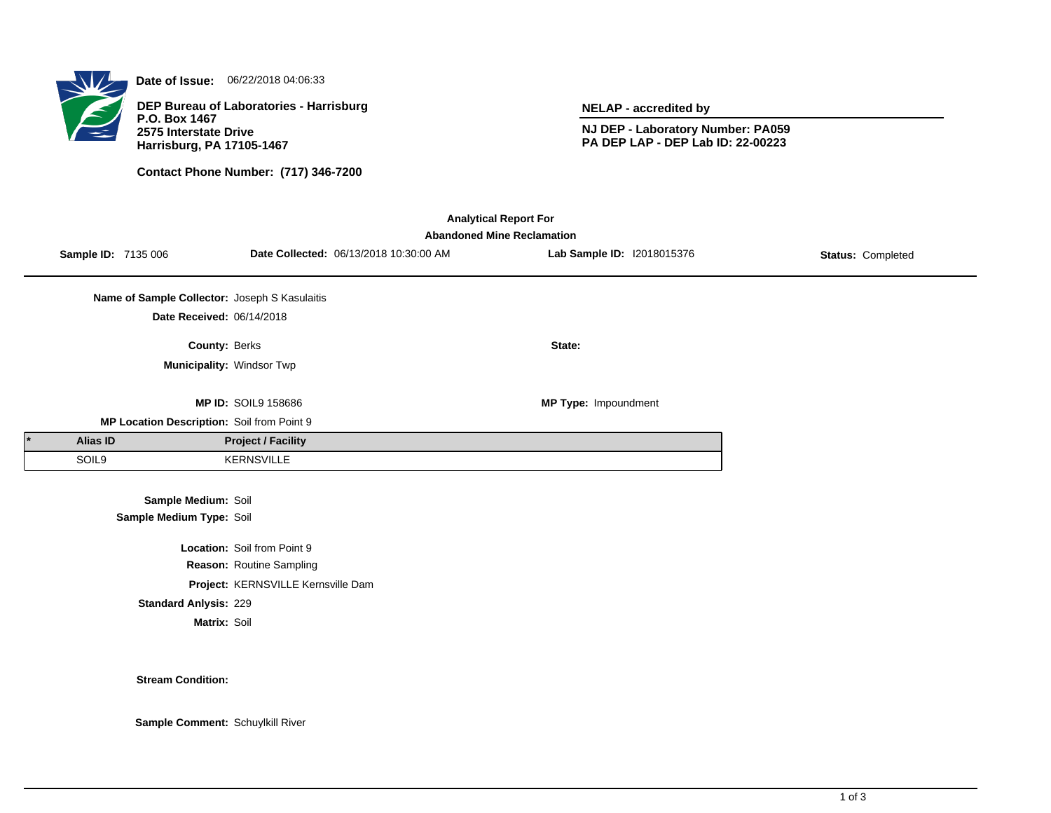

**Date of Issue:** 06/22/2018 04:06:33

**DEP Bureau of Laboratories - Harrisburg P.O. Box 1467 2575 Interstate Drive Harrisburg, PA 17105-1467**

**Contact Phone Number: (717) 346-7200**

**NELAP - accredited by**

**NJ DEP - Laboratory Number: PA059 PA DEP LAP - DEP Lab ID: 22-00223**

| <b>Analytical Report For</b><br><b>Abandoned Mine Reclamation</b> |                                               |                                    |                                        |                            |                   |  |  |  |  |  |
|-------------------------------------------------------------------|-----------------------------------------------|------------------------------------|----------------------------------------|----------------------------|-------------------|--|--|--|--|--|
| Sample ID: 7135 006                                               |                                               |                                    | Date Collected: 06/13/2018 10:30:00 AM | Lab Sample ID: 12018015376 | Status: Completed |  |  |  |  |  |
|                                                                   | Name of Sample Collector: Joseph S Kasulaitis |                                    |                                        |                            |                   |  |  |  |  |  |
|                                                                   | Date Received: 06/14/2018                     |                                    |                                        |                            |                   |  |  |  |  |  |
|                                                                   | County: Berks                                 |                                    |                                        | State:                     |                   |  |  |  |  |  |
|                                                                   | Municipality: Windsor Twp                     |                                    |                                        |                            |                   |  |  |  |  |  |
|                                                                   |                                               | <b>MP ID: SOIL9 158686</b>         |                                        | MP Type: Impoundment       |                   |  |  |  |  |  |
|                                                                   | MP Location Description: Soil from Point 9    |                                    |                                        |                            |                   |  |  |  |  |  |
| <b>Alias ID</b>                                                   |                                               | <b>Project / Facility</b>          |                                        |                            |                   |  |  |  |  |  |
| SOIL9                                                             |                                               | <b>KERNSVILLE</b>                  |                                        |                            |                   |  |  |  |  |  |
|                                                                   | Sample Medium: Soil                           |                                    |                                        |                            |                   |  |  |  |  |  |
|                                                                   | Sample Medium Type: Soil                      |                                    |                                        |                            |                   |  |  |  |  |  |
|                                                                   |                                               | Location: Soil from Point 9        |                                        |                            |                   |  |  |  |  |  |
|                                                                   |                                               | Reason: Routine Sampling           |                                        |                            |                   |  |  |  |  |  |
|                                                                   |                                               | Project: KERNSVILLE Kernsville Dam |                                        |                            |                   |  |  |  |  |  |
|                                                                   | <b>Standard Anlysis: 229</b>                  |                                    |                                        |                            |                   |  |  |  |  |  |
|                                                                   | Matrix: Soil                                  |                                    |                                        |                            |                   |  |  |  |  |  |

**Stream Condition:**

**Sample Comment:** Schuylkill River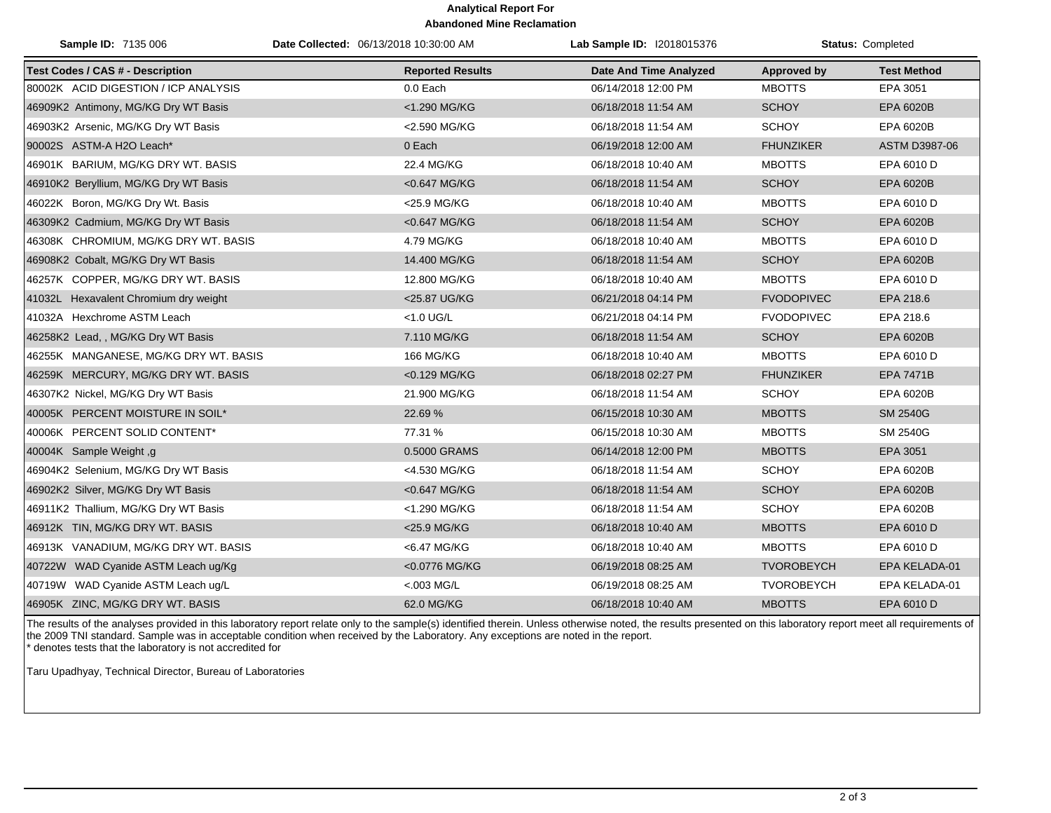## **Analytical Report For Abandoned Mine Reclamation**

| Sample ID: 7135 006                     | Date Collected: 06/13/2018 10:30:00 AM | Lab Sample ID: I2018015376    |                   | Status: Completed  |
|-----------------------------------------|----------------------------------------|-------------------------------|-------------------|--------------------|
| <b>Test Codes / CAS # - Description</b> | <b>Reported Results</b>                | <b>Date And Time Analyzed</b> | Approved by       | <b>Test Method</b> |
| 80002K ACID DIGESTION / ICP ANALYSIS    | 0.0 Each                               | 06/14/2018 12:00 PM           | <b>MBOTTS</b>     | EPA 3051           |
| 46909K2 Antimony, MG/KG Dry WT Basis    | <1.290 MG/KG                           | 06/18/2018 11:54 AM           | <b>SCHOY</b>      | EPA 6020B          |
| 46903K2 Arsenic, MG/KG Dry WT Basis     | <2.590 MG/KG                           | 06/18/2018 11:54 AM           | <b>SCHOY</b>      | EPA 6020B          |
| 90002S ASTM-A H2O Leach*                | 0 Each                                 | 06/19/2018 12:00 AM           | <b>FHUNZIKER</b>  | ASTM D3987-06      |
| 46901K BARIUM, MG/KG DRY WT. BASIS      | 22.4 MG/KG                             | 06/18/2018 10:40 AM           | <b>MBOTTS</b>     | EPA 6010 D         |
| 46910K2 Beryllium, MG/KG Dry WT Basis   | <0.647 MG/KG                           | 06/18/2018 11:54 AM           | <b>SCHOY</b>      | EPA 6020B          |
| 46022K Boron, MG/KG Dry Wt. Basis       | <25.9 MG/KG                            | 06/18/2018 10:40 AM           | <b>MBOTTS</b>     | EPA 6010 D         |
| 46309K2 Cadmium, MG/KG Dry WT Basis     | <0.647 MG/KG                           | 06/18/2018 11:54 AM           | <b>SCHOY</b>      | EPA 6020B          |
| 46308K CHROMIUM, MG/KG DRY WT. BASIS    | 4.79 MG/KG                             | 06/18/2018 10:40 AM           | <b>MBOTTS</b>     | EPA 6010 D         |
| 46908K2 Cobalt, MG/KG Dry WT Basis      | 14.400 MG/KG                           | 06/18/2018 11:54 AM           | <b>SCHOY</b>      | EPA 6020B          |
| 46257K COPPER, MG/KG DRY WT. BASIS      | 12.800 MG/KG                           | 06/18/2018 10:40 AM           | <b>MBOTTS</b>     | EPA 6010 D         |
| 41032L Hexavalent Chromium dry weight   | <25.87 UG/KG                           | 06/21/2018 04:14 PM           | <b>FVODOPIVEC</b> | EPA 218.6          |
| 41032A Hexchrome ASTM Leach             | <1.0 UG/L                              | 06/21/2018 04:14 PM           | <b>FVODOPIVEC</b> | EPA 218.6          |
| 46258K2 Lead, , MG/KG Dry WT Basis      | 7.110 MG/KG                            | 06/18/2018 11:54 AM           | <b>SCHOY</b>      | EPA 6020B          |
| 46255K MANGANESE, MG/KG DRY WT. BASIS   | 166 MG/KG                              | 06/18/2018 10:40 AM           | <b>MBOTTS</b>     | EPA 6010 D         |
| 46259K MERCURY, MG/KG DRY WT. BASIS     | <0.129 MG/KG                           | 06/18/2018 02:27 PM           | <b>FHUNZIKER</b>  | <b>EPA 7471B</b>   |
| 46307K2 Nickel, MG/KG Dry WT Basis      | 21.900 MG/KG                           | 06/18/2018 11:54 AM           | <b>SCHOY</b>      | EPA 6020B          |
| 40005K PERCENT MOISTURE IN SOIL*        | 22.69%                                 | 06/15/2018 10:30 AM           | <b>MBOTTS</b>     | <b>SM 2540G</b>    |
| 40006K PERCENT SOLID CONTENT*           | 77.31 %                                | 06/15/2018 10:30 AM           | <b>MBOTTS</b>     | SM 2540G           |
| 40004K Sample Weight, g                 | 0.5000 GRAMS                           | 06/14/2018 12:00 PM           | <b>MBOTTS</b>     | EPA 3051           |
| 46904K2 Selenium, MG/KG Dry WT Basis    | <4.530 MG/KG                           | 06/18/2018 11:54 AM           | <b>SCHOY</b>      | EPA 6020B          |
| 46902K2 Silver, MG/KG Dry WT Basis      | <0.647 MG/KG                           | 06/18/2018 11:54 AM           | <b>SCHOY</b>      | EPA 6020B          |
| 46911K2 Thallium, MG/KG Dry WT Basis    | <1.290 MG/KG                           | 06/18/2018 11:54 AM           | <b>SCHOY</b>      | EPA 6020B          |
| 46912K TIN, MG/KG DRY WT. BASIS         | <25.9 MG/KG                            | 06/18/2018 10:40 AM           | <b>MBOTTS</b>     | EPA 6010 D         |
| 46913K VANADIUM, MG/KG DRY WT. BASIS    | <6.47 MG/KG                            | 06/18/2018 10:40 AM           | <b>MBOTTS</b>     | EPA 6010 D         |
| 40722W WAD Cyanide ASTM Leach ug/Kg     | <0.0776 MG/KG                          | 06/19/2018 08:25 AM           | <b>TVOROBEYCH</b> | EPA KELADA-01      |
| 40719W WAD Cyanide ASTM Leach ug/L      | $< 003$ MG/L                           | 06/19/2018 08:25 AM           | <b>TVOROBEYCH</b> | EPA KELADA-01      |
| 46905K ZINC, MG/KG DRY WT. BASIS        | 62.0 MG/KG                             | 06/18/2018 10:40 AM           | <b>MBOTTS</b>     | EPA 6010 D         |

The results of the analyses provided in this laboratory report relate only to the sample(s) identified therein. Unless otherwise noted, the results presented on this laboratory report meet all requirements of the 2009 TNI standard. Sample was in acceptable condition when received by the Laboratory. Any exceptions are noted in the report. \* denotes tests that the laboratory is not accredited for

Taru Upadhyay, Technical Director, Bureau of Laboratories